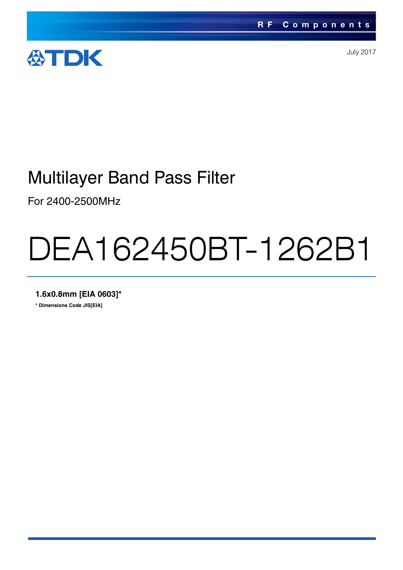

July 2017

# Multilayer Band Pass Filter

For 2400-2500MHz

# DEA162450BT-1262B1

**1.6x0.8mm [EIA 0603]\***

**\* Dimensions Code JIS[EIA]**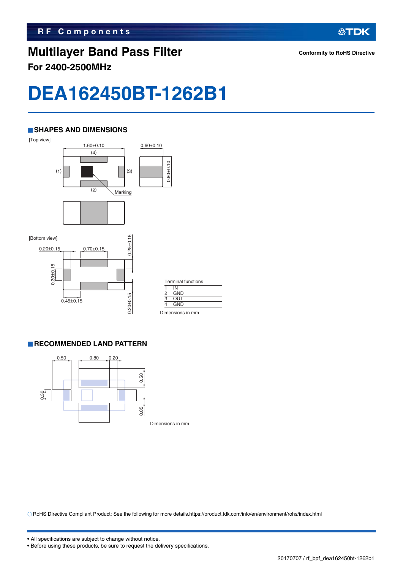## **Multilayer Band Pass Filter For 2400-2500MHz**

**公TDK** 

# **DEA162450BT-1262B1**

#### **SHAPES AND DIMENSIONS**



| <b>Terminal functions</b> |            |  |  |  |  |
|---------------------------|------------|--|--|--|--|
|                           | IN         |  |  |  |  |
| $\overline{2}$            | <b>GND</b> |  |  |  |  |
| 3                         | <b>OUT</b> |  |  |  |  |
|                           | <b>GND</b> |  |  |  |  |
|                           |            |  |  |  |  |

Dimensions in mm

#### **RECOMMENDED LAND PATTERN**



RoHS Directive Compliant Product: See the following for more details.https://product.tdk.com/info/en/environment/rohs/index.html

<sup>•</sup> Before using these products, be sure to request the delivery specifications.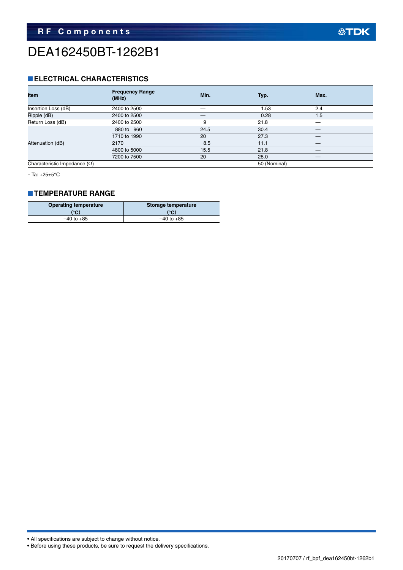# DEA162450BT-1262B1

#### **ELECTRICAL CHARACTERISTICS**

| <b>Item</b>                         | <b>Frequency Range</b><br>(MHz) | Min. | Typ.         | Max. |
|-------------------------------------|---------------------------------|------|--------------|------|
| Insertion Loss (dB)                 | 2400 to 2500                    |      | 1.53         | 2.4  |
| Ripple (dB)                         | 2400 to 2500                    |      | 0.28         | 1.5  |
| Return Loss (dB)                    | 2400 to 2500                    | 9    | 21.8         |      |
|                                     | 880 to 960                      | 24.5 | 30.4         |      |
|                                     | 1710 to 1990                    | 20   | 27.3         |      |
| Attenuation (dB)                    | 2170                            | 8.5  | 11.1         |      |
|                                     | 4800 to 5000                    | 15.5 | 21.8         |      |
|                                     | 7200 to 7500                    | 20   | 28.0         |      |
| Characteristic Impedance $(\Omega)$ |                                 |      | 50 (Nominal) |      |

・Ta: +25±5°C

#### **TEMPERATURE RANGE**

| <b>Operating temperature</b> | Storage temperature |  |  |
|------------------------------|---------------------|--|--|
| $\mathcal{C}$                | (°C)                |  |  |
| $-40$ to $+85$               | $-40$ to $+85$      |  |  |

• All specifications are subject to change without notice.

• Before using these products, be sure to request the delivery specifications.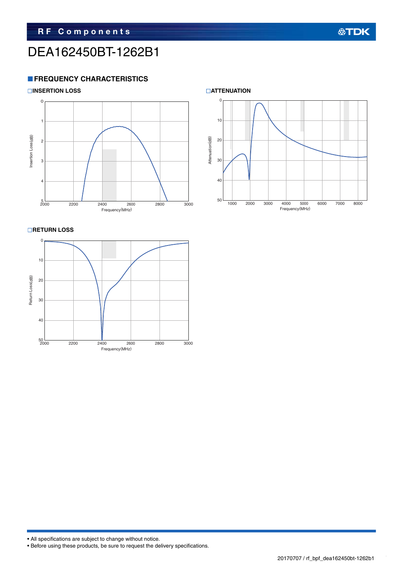# DEA162450BT-1262B1

#### **FREQUENCY CHARACTERISTICS**





**RETURN LOSS** 





• All specifications are subject to change without notice.

<sup>•</sup> Before using these products, be sure to request the delivery specifications.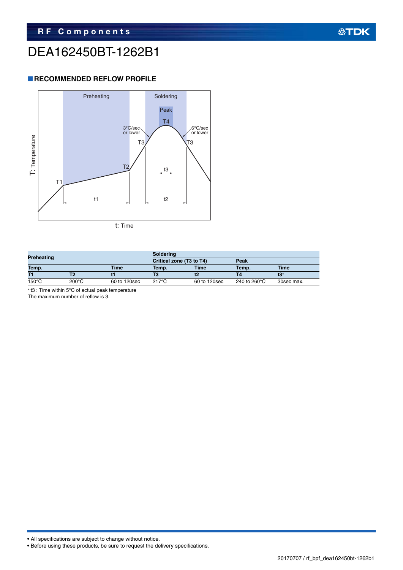# DEA162450BT-1262B1

#### **RECOMMENDED REFLOW PROFILE**



| Preheating      |       |              | Soldering                |              |                                 |             |  |
|-----------------|-------|--------------|--------------------------|--------------|---------------------------------|-------------|--|
|                 |       |              | Critical zone (T3 to T4) |              | Peak                            |             |  |
| Temp.           |       | <b>Time</b>  | Temp.                    | <b>Time</b>  | Temp.                           | <b>Time</b> |  |
| T1              |       |              |                          |              |                                 | t3*         |  |
| $150^{\circ}$ C | 200°C | 60 to 120sec | 217°C                    | 60 to 120sec | 240 to 260 $\mathrm{^{\circ}C}$ | 30sec max.  |  |

t3 : Time within 5°C of actual peak temperature

The maximum number of reflow is 3.

• All specifications are subject to change without notice.

```
• Before using these products, be sure to request the delivery specifications.
```